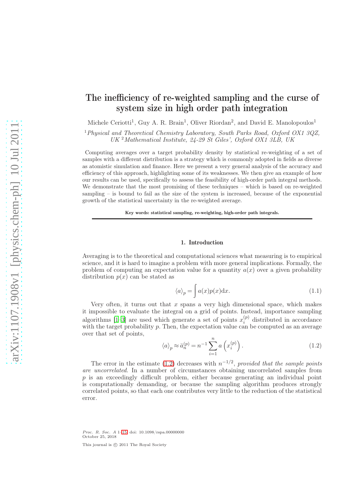# The inefficiency of re-weighted sampling and the curse of system size in high order path integration

Michele Ceriotti<sup>1</sup>, Guy A. R. Brain<sup>1</sup>, Oliver Riordan<sup>2</sup>, and David E. Manolopoulos<sup>1</sup>

<sup>1</sup>Physical and Theoretical Chemistry Laboratory, South Parks Road, Oxford OX1 3QZ, UK <sup>2</sup>Mathematical Institute, 24-29 St Giles', Oxford OX1 3LB, UK

Computing averages over a target probability density by statistical re-weighting of a set of samples with a different distribution is a strategy which is commonly adopted in fields as diverse as atomistic simulation and finance. Here we present a very general analysis of the accuracy and efficiency of this approach, highlighting some of its weaknesses. We then give an example of how our results can be used, specifically to assess the feasibility of high-order path integral methods. We demonstrate that the most promising of these techniques – which is based on re-weighted sampling – is bound to fail as the size of the system is increased, because of the exponential growth of the statistical uncertainty in the re-weighted average.

Key words: statistical sampling, re-weighting, high-order path integrals.

## 1. Introduction

Averaging is to the theoretical and computational sciences what measuring is to empirical science, and it is hard to imagine a problem with more general implications. Formally, the problem of computing an expectation value for a quantity  $a(x)$  over a given probability distribution  $p(x)$  can be stated as

$$
\langle a \rangle_p = \int a(x)p(x) \mathrm{d}x. \tag{1.1}
$$

Very often, it turns out that  $x$  spans a very high dimensional space, which makes it impossible to evaluate the integral on a grid of points. Instead, importance sampling algorithms [\[1](#page-13-0)[–3\]](#page-13-1) are used which generate a set of points  $x_i^{(p)}$  distributed in accordance algorithms  $[1-5]$  are used which generate a set of points  $x_i$  distributed in accordance<br>with the target probability p. Then, the expectation value can be computed as an average over that set of points,

<span id="page-0-0"></span>
$$
\langle a \rangle_p \approx \bar{a}_n^{(p)} = n^{-1} \sum_{i=1}^n a \left( x_i^{(p)} \right). \tag{1.2}
$$

The error in the estimate [\(1.2\)](#page-0-0) decreases with  $n^{-1/2}$ , provided that the sample points are uncorrelated. In a number of circumstances obtaining uncorrelated samples from  $p$  is an exceedingly difficult problem, either because generating an individual point is computationally demanding, or because the sampling algorithm produces strongly correlated points, so that each one contributes very little to the reduction of the statistical error.

Proc. R. Soc. A 1[–15;](#page-14-0) doi: 10.1098/rspa.00000000 October 25, 2018 This journal is  $\circled{c}$  2011 The Royal Society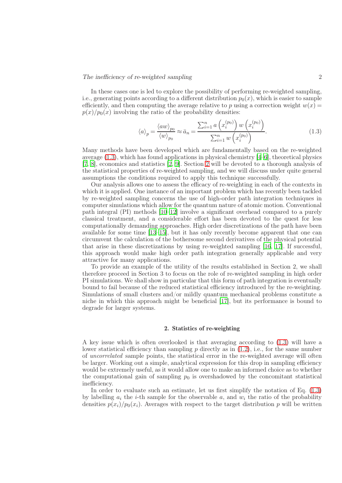In these cases one is led to explore the possibility of performing re-weighted sampling, i.e., generating points according to a different distribution  $p_0(x)$ , which is easier to sample efficiently, and then computing the average relative to p using a correction weight  $w(x) =$  $p(x)/p_0(x)$  involving the ratio of the probability densities:

<span id="page-1-0"></span>
$$
\langle a \rangle_p = \frac{\langle aw \rangle_{p_0}}{\langle w \rangle_{p_0}} \approx \bar{a}_n = \frac{\sum_{i=1}^n a\left(x_i^{(p_0)}\right) w\left(x_i^{(p_0)}\right)}{\sum_{i=1}^n w\left(x_i^{(p_0)}\right)}.
$$
\n(1.3)

Many methods have been developed which are fundamentally based on the re-weighted average  $(1.3)$ , which has found applications in physical chemistry  $[4-6]$ , theoretical physics [\[7,](#page-13-4) [8\]](#page-13-5), economics and statistics [\[2,](#page-13-6) [9\]](#page-13-7). Section [2](#page-1-1) will be devoted to a thorough analysis of the statistical properties of re-weighted sampling, and we will discuss under quite general assumptions the conditions required to apply this technique successfully.

Our analysis allows one to assess the efficacy of re-weighting in each of the contexts in which it is applied. One instance of an important problem which has recently been tackled by re-weighted sampling concerns the use of high-order path integration techniques in computer simulations which allow for the quantum nature of atomic motion. Conventional path integral (PI) methods [\[10](#page-13-8)[–12\]](#page-13-9) involve a significant overhead compared to a purely classical treatment, and a considerable effort has been devoted to the quest for less computationally demanding approaches. High order discretizations of the path have been available for some time [\[13](#page-13-10)[–15\]](#page-13-11), but it has only recently become apparent that one can circumvent the calculation of the bothersome second derivatives of the physical potential that arise in these discretizations by using re-weighted sampling [\[16](#page-13-12), [17](#page-14-1)]. If successful, this approach would make high order path integration generally applicable and very attractive for many applications.

To provide an example of the utility of the results established in Section 2, we shall therefore proceed in Section 3 to focus on the role of re-weighted sampling in high order PI simulations. We shall show in particular that this form of path integration is eventually bound to fail because of the reduced statistical efficiency introduced by the re-weighting. Simulations of small clusters and/or mildly quantum mechanical problems constitute a niche in which this approach might be beneficial [\[17](#page-14-1)], but its performance is bound to degrade for larger systems.

# 2. Statistics of re-weighting

<span id="page-1-1"></span>A key issue which is often overlooked is that averaging according to [\(1.3\)](#page-1-0) will have a lower statistical efficiency than sampling p directly as in  $(1.2)$ , i.e., for the same number of uncorrelated sample points, the statistical error in the re-weighted average will often be larger. Working out a simple, analytical expression for this drop in sampling efficiency would be extremely useful, as it would allow one to make an informed choice as to whether the computational gain of sampling  $p_0$  is overshadowed by the concomitant statistical inefficiency.

In order to evaluate such an estimate, let us first simplify the notation of Eq. [\(1.3\)](#page-1-0) by labelling  $a_i$  the *i*-th sample for the observable a, and  $w_i$  the ratio of the probability densities  $p(x_i)/p_0(x_i)$ . Averages with respect to the target distribution p will be written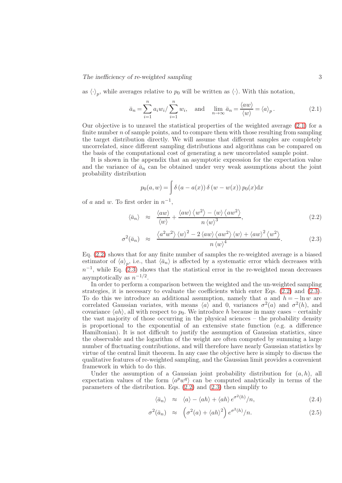as  $\langle \cdot \rangle_p$ , while averages relative to  $p_0$  will be written as  $\langle \cdot \rangle$ . With this notation,

<span id="page-2-0"></span>
$$
\bar{a}_n = \sum_{i=1}^n a_i w_i / \sum_{i=1}^n w_i, \text{ and } \lim_{n \to \infty} \bar{a}_n = \frac{\langle aw \rangle}{\langle w \rangle} = \langle a \rangle_p. \tag{2.1}
$$

Our objective is to unravel the statistical properties of the weighted average [\(2.1\)](#page-2-0) for a finite number  $n$  of sample points, and to compare them with those resulting from sampling the target distribution directly. We will assume that different samples are completely uncorrelated, since different sampling distributions and algorithms can be compared on the basis of the computational cost of generating a new uncorrelated sample point.

It is shown in the appendix that an asymptotic expression for the expectation value and the variance of  $\bar{a}_n$  can be obtained under very weak assumptions about the joint probability distribution

$$
p_0(a, w) = \int \delta(a - a(x)) \delta(w - w(x)) p_0(x) dx
$$

of a and w. To first order in  $n^{-1}$ ,

<span id="page-2-1"></span>
$$
\langle \bar{a}_n \rangle \approx \frac{\langle aw \rangle}{\langle w \rangle} + \frac{\langle aw \rangle \langle w^2 \rangle - \langle w \rangle \langle aw^2 \rangle}{n \langle w \rangle^3}, \tag{2.2}
$$

$$
\sigma^2(\bar{a}_n) \approx \frac{\langle a^2 w^2 \rangle \langle w \rangle^2 - 2 \langle aw \rangle \langle aw^2 \rangle \langle w \rangle + \langle aw \rangle^2 \langle w^2 \rangle}{n \langle w \rangle^4}.
$$
\n(2.3)

Eq. [\(2.2\)](#page-2-1) shows that for any finite number of samples the re-weighted average is a biased estimator of  $\langle a \rangle_p$ , i.e., that  $\langle \bar{a}_n \rangle$  is affected by a systematic error which decreases with  $n^{-1}$ , while Eq. [\(2.3\)](#page-2-1) shows that the statistical error in the re-weighted mean decreases asymptotically as  $n^{-1/2}$ .

In order to perform a comparison between the weighted and the un-weighted sampling strategies, it is necessary to evaluate the coefficients which enter Eqs. [\(2.2\)](#page-2-1) and [\(2.3\)](#page-2-1). To do this we introduce an additional assumption, namely that a and  $h = -\ln w$  are correlated Gaussian variates, with means  $\langle a \rangle$  and 0, variances  $\sigma^2(a)$  and  $\sigma^2(h)$ , and covariance  $\langle ah \rangle$ , all with respect to  $p_0$ . We introduce h because in many cases – certainly the vast majority of those occurring in the physical sciences – the probability density is proportional to the exponential of an extensive state function (e.g. a difference Hamiltonian). It is not difficult to justify the assumption of Gaussian statistics, since the observable and the logarithm of the weight are often computed by summing a large number of fluctuating contributions, and will therefore have nearly Gaussian statistics by virtue of the central limit theorem. In any case the objective here is simply to discuss the qualitative features of re-weighted sampling, and the Gaussian limit provides a convenient framework in which to do this.

Under the assumption of a Gaussian joint probability distribution for  $(a, h)$ , all expectation values of the form  $\langle a^p w^q \rangle$  can be computed analytically in terms of the parameters of the distribution. Eqs. [\(2.2\)](#page-2-1) and [\(2.3\)](#page-2-1) then simplify to

<span id="page-2-2"></span>
$$
\langle \bar{a}_n \rangle \approx \langle a \rangle - \langle ah \rangle + \langle ah \rangle e^{\sigma^2(h)} / n, \qquad (2.4)
$$

$$
\sigma^2(\bar{a}_n) \approx \left(\sigma^2(a) + \langle ah \rangle^2\right) e^{\sigma^2(h)}/n. \tag{2.5}
$$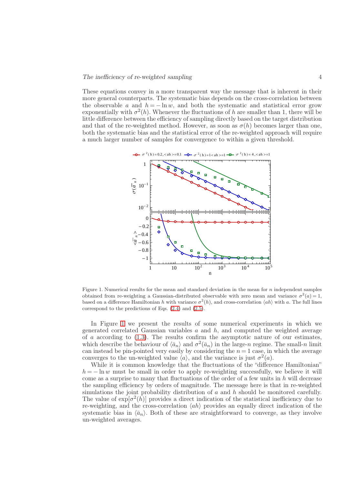These equations convey in a more transparent way the message that is inherent in their more general counterparts. The systematic bias depends on the cross-correlation between the observable a and  $h = -\ln w$ , and both the systematic and statistical error grow exponentially with  $\sigma^2(h)$ . Whenever the fluctuations of h are smaller than 1, there will be little difference between the efficiency of sampling directly based on the target distribution and that of the re-weighted method. However, as soon as  $\sigma(h)$  becomes larger than one, both the systematic bias and the statistical error of the re-weighted approach will require a much larger number of samples for convergence to within a given threshold.



<span id="page-3-0"></span>Figure 1. Numerical results for the mean and standard deviation in the mean for  $n$  independent samples obtained from re-weighting a Gaussian-distributed observable with zero mean and variance  $\sigma^2(a) = 1$ , based on a difference Hamiltonian h with variance  $\sigma^2(h)$ , and cross-correlation  $\langle ah \rangle$  with a. The full lines correspond to the predictions of Eqs. [\(2.4\)](#page-2-2) and [\(2.5\)](#page-2-2).

In Figure [1](#page-3-0) we present the results of some numerical experiments in which we generated correlated Gaussian variables  $a$  and  $h$ , and computed the weighted average of a according to  $(1.3)$ . The results confirm the asymptotic nature of our estimates, which describe the behaviour of  $\langle \bar{a}_n \rangle$  and  $\sigma^2(\bar{a}_n)$  in the large-n regime. The small-n limit can instead be pin-pointed very easily by considering the  $n = 1$  case, in which the average converges to the un-weighted value  $\langle a \rangle$ , and the variance is just  $\sigma^2(a)$ .

While it is common knowledge that the fluctuations of the "difference Hamiltonian"  $h = -\ln w$  must be small in order to apply re-weighting successfully, we believe it will come as a surprise to many that fluctuations of the order of a few units in  $h$  will decrease the sampling efficiency by orders of magnitude. The message here is that in re-weighted simulations the joint probability distribution of  $a$  and  $h$  should be monitored carefully. The value of  $\exp[\sigma^2(h)]$  provides a direct indication of the statistical inefficiency due to re-weighting, and the cross-correlation  $\langle ah \rangle$  provides an equally direct indication of the systematic bias in  $\langle \bar{a}_n \rangle$ . Both of these are straightforward to converge, as they involve un-weighted averages.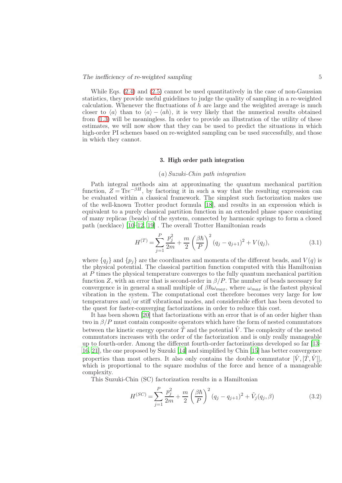While Eqs.  $(2.4)$  and  $(2.5)$  cannot be used quantitatively in the case of non-Gaussian statistics, they provide useful guidelines to judge the quality of sampling in a re-weighted calculation. Whenever the fluctuations of  $h$  are large and the weighted average is much closer to  $\langle a \rangle$  than to  $\langle a \rangle - \langle ah \rangle$ , it is very likely that the numerical results obtained from [\(1.3\)](#page-1-0) will be meaningless. In order to provide an illustration of the utility of these estimates, we will now show that they can be used to predict the situations in which high-order PI schemes based on re-weighted sampling can be used successfully, and those in which they cannot.

# 3. High order path integration

## (a) Suzuki-Chin path integration

Path integral methods aim at approximating the quantum mechanical partition function,  $Z = \text{Tr}e^{-\beta H}$ , by factoring it in such a way that the resulting expression can be evaluated within a classical framework. The simplest such factorization makes use of the well-known Trotter product formula [\[18\]](#page-14-2), and results in an expression which is equivalent to a purely classical partition function in an extended phase space consisting of many replicas (beads) of the system, connected by harmonic springs to form a closed path (necklace) [\[10](#page-13-8)[–12,](#page-13-9) [19](#page-14-3)] . The overall Trotter Hamiltonian reads

<span id="page-4-0"></span>
$$
H^{(T)} = \sum_{j=1}^{P} \frac{p_j^2}{2m} + \frac{m}{2} \left(\frac{\beta \hbar}{P}\right)^2 (q_j - q_{j+1})^2 + V(q_j), \tag{3.1}
$$

where  ${q_i}$  and  ${p_i}$  are the coordinates and momenta of the different beads, and  $V(q)$  is the physical potential. The classical partition function computed with this Hamiltonian at P times the physical temperature converges to the fully quantum mechanical partition function Z, with an error that is second-order in  $\beta/P$ . The number of beads necessary for convergence is in general a small multiple of  $\beta \hbar \omega_{max}$ , where  $\omega_{max}$  is the fastest physical vibration in the system. The computational cost therefore becomes very large for low temperatures and/or stiff vibrational modes, and considerable effort has been devoted to the quest for faster-converging factorizations in order to reduce this cost.

It has been shown [\[20](#page-14-4)] that factorizations with an error that is of an order higher than two in  $\beta/P$  must contain composite operators which have the form of nested commutators between the kinetic energy operator  $\hat{T}$  and the potential  $\hat{V}$ . The complexity of the nested commutators increases with the order of the factorization and is only really manageable up to fourth-order. Among the different fourth-order factorizations developed so far [\[13–](#page-13-10) [16](#page-13-12), [21](#page-14-5)], the one proposed by Suzuki [\[14](#page-13-13)] and simplified by Chin [\[15\]](#page-13-11) has better convergence properties than most others. It also only contains the double commutator  $[\tilde{V}, [\tilde{T}, \tilde{V}]]$ , which is proportional to the square modulus of the force and hence of a manageable complexity.

This Suzuki-Chin (SC) factorization results in a Hamiltonian

$$
H^{(SC)} = \sum_{j=1}^{P} \frac{p_j^2}{2m} + \frac{m}{2} \left(\frac{\beta \hbar}{P}\right)^2 (q_j - q_{j+1})^2 + \tilde{V}_j(q_j, \beta)
$$
(3.2)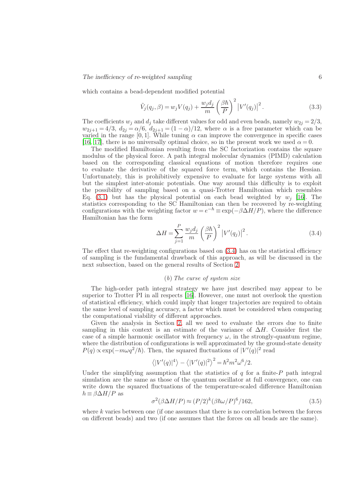which contains a bead-dependent modified potential

$$
\tilde{V}_j(q_j,\beta) = w_j V(q_j) + \frac{w_j d_j}{m} \left(\frac{\beta \hbar}{P}\right)^2 \left|V'(q_j)\right|^2.
$$
\n(3.3)

The coefficients  $w_j$  and  $d_j$  take different values for odd and even beads, namely  $w_{2j} = 2/3$ ,  $w_{2j+1} = 4/3$ ,  $d_{2j} = \alpha/6$ ,  $d_{2j+1} = (1 - \alpha)/12$ , where  $\alpha$  is a free parameter which can be varied in the range [0, 1]. While tuning  $\alpha$  can improve the convergence in specific cases [\[16](#page-13-12), [17\]](#page-14-1), there is no universally optimal choice, so in the present work we used  $\alpha = 0$ .

The modified Hamiltonian resulting from the SC factorization contains the square modulus of the physical force. A path integral molecular dynamics (PIMD) calculation based on the corresponding classical equations of motion therefore requires one to evaluate the derivative of the squared force term, which contains the Hessian. Unfortunately, this is prohibitively expensive to evaluate for large systems with all but the simplest inter-atomic potentials. One way around this difficulty is to exploit the possibility of sampling based on a quasi-Trotter Hamiltonian which resembles Eq. [\(3.1\)](#page-4-0) but has the physical potential on each bead weighted by  $w_j$  [\[16\]](#page-13-12). The statistics corresponding to the SC Hamiltonian can then be recovered by re-weighting configurations with the weighting factor  $w = e^{-h} \equiv \exp(-\beta \Delta H/P)$ , where the difference Hamiltonian has the form

<span id="page-5-0"></span>
$$
\Delta H = \sum_{j=1}^{P} \frac{w_j d_j}{m} \left(\frac{\beta \hbar}{P}\right)^2 \left|V'(q_j)\right|^2.
$$
\n(3.4)

The effect that re-weighting configurations based on  $(3.4)$  has on the statistical efficiency of sampling is the fundamental drawback of this approach, as will be discussed in the next subsection, based on the general results of Section [2.](#page-1-1)

## (b) The curse of system size

The high-order path integral strategy we have just described may appear to be superior to Trotter PI in all respects [\[16](#page-13-12)]. However, one must not overlook the question of statistical efficiency, which could imply that longer trajectories are required to obtain the same level of sampling accuracy, a factor which must be considered when comparing the computational viability of different approaches.

Given the analysis in Section [2,](#page-1-1) all we need to evaluate the errors due to finite sampling in this context is an estimate of the variance of  $\Delta H$ . Consider first the case of a simple harmonic oscillator with frequency  $\omega$ , in the strongly-quantum regime, where the distribution of configurations is well approximated by the ground-state density  $P(q) \propto \exp(-m\omega q^2/\hbar)$ . Then, the squared fluctuations of  $|V'(q)|^2$  read

$$
\langle |V'(q)|^4 \rangle - \langle |V'(q)|^2 \rangle^2 = \hbar^2 m^2 \omega^6 / 2.
$$

Under the simplifying assumption that the statistics of  $q$  for a finite- $P$  path integral simulation are the same as those of the quantum oscillator at full convergence, one can write down the squared fluctuations of the temperature-scaled difference Hamiltonian  $h \equiv \beta \Delta H/P$  as

<span id="page-5-1"></span>
$$
\sigma^2(\beta \Delta H/P) \approx (P/2)^k (\beta \hbar \omega/P)^6 / 162,\tag{3.5}
$$

where  $k$  varies between one (if one assumes that there is no correlation between the forces on different beads) and two (if one assumes that the forces on all beads are the same).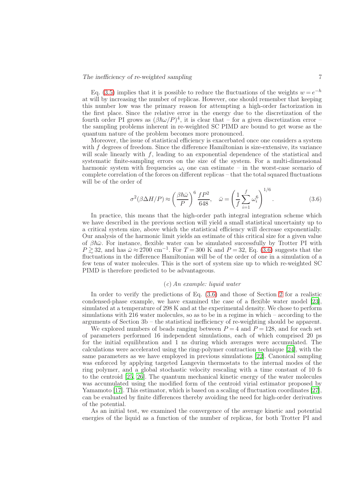Eq. [\(3.5\)](#page-5-1) implies that it is possible to reduce the fluctuations of the weights  $w = e^{-h}$ at will by increasing the number of replicas. However, one should remember that keeping this number low was the primary reason for attempting a high-order factorization in the first place. Since the relative error in the energy due to the discretization of the fourth order PI grows as  $(\beta \hbar \omega / P)^4$ , it is clear that – for a given discretization error – the sampling problems inherent in re-weighted SC PIMD are bound to get worse as the quantum nature of the problem becomes more pronounced.

Moreover, the issue of statistical efficiency is exacerbated once one considers a system with f degrees of freedom. Since the difference Hamiltonian is size-extensive, its variance will scale linearly with f, leading to an exponential dependence of the statistical and systematic finite-sampling errors on the size of the system. For a multi-dimensional harmonic system with frequencies  $\omega_i$  one can estimate – in the worst-case scenario of complete correlation of the forces on different replicas – that the total squared fluctuations will be of the order of

<span id="page-6-0"></span>
$$
\sigma^2(\beta \Delta H/P) \approx \left(\frac{\beta \hbar \bar{\omega}}{P}\right)^6 \frac{fP^2}{648}, \quad \bar{\omega} = \left(\frac{1}{f} \sum_{i=1}^f \omega_i^6\right)^{1/6}.
$$
 (3.6)

In practice, this means that the high-order path integral integration scheme which we have described in the previous section will yield a small statistical uncertainty up to a critical system size, above which the statistical efficiency will decrease exponentially. Our analysis of the harmonic limit yields an estimate of this critical size for a given value of  $\beta\hbar\bar{\omega}$ . For instance, flexible water can be simulated successfully by Trotter PI with  $P \gtrsim 32$ , and has  $\bar{\omega} \approx 2700 \text{ cm}^{-1}$ . For  $T = 300 \text{ K}$  and  $P = 32$ , Eq. [\(3.6\)](#page-6-0) suggests that the fluctuations in the difference Hamiltonian will be of the order of one in a simulation of a few tens of water molecules. This is the sort of system size up to which re-weighted SC PIMD is therefore predicted to be advantageous.

# (c) An example: liquid water

In order to verify the predictions of Eq. [\(3.6\)](#page-6-0) and those of Section [2](#page-1-1) for a realistic condensed-phase example, we have examined the case of a flexible water model [\[23\]](#page-14-6), simulated at a temperature of 298 K and at the experimental density. We chose to perform simulations with 216 water molecules, so as to be in a regime in which – according to the arguments of Section 3b – the statistical inefficiency of re-weighting should be apparent.

We explored numbers of beads ranging between  $P = 4$  and  $P = 128$ , and for each set of parameters performed 16 independent simulations, each of which comprised 20 ps for the initial equilibration and 1 ns during which averages were accumulated. The calculations were accelerated using the ring-polymer contraction technique [\[24](#page-14-7)], with the same parameters as we have employed in previous simulations [\[22](#page-14-8)]. Canonical sampling was enforced by applying targeted Langevin thermostats to the internal modes of the ring polymer, and a global stochastic velocity rescaling with a time constant of 10 fs to the centroid [\[25](#page-14-9), [26](#page-14-10)]. The quantum mechanical kinetic energy of the water molecules was accumulated using the modified form of the centroid virial estimator proposed by Yamamoto [\[17\]](#page-14-1). This estimator, which is based on a scaling of fluctuation coordinates [\[27\]](#page-14-11), can be evaluated by finite differences thereby avoiding the need for high-order derivatives of the potential.

As an initial test, we examined the convergence of the average kinetic and potential energies of the liquid as a function of the number of replicas, for both Trotter PI and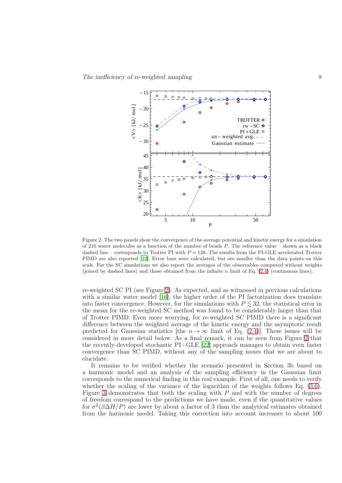

<span id="page-7-0"></span>Figure 2. The two panels show the convergence of the average potential and kinetic energy for a simulation of 216 water molecules as a function of the number of beads P. The reference value – shown as a black dashed line – corresponds to Trotter PI with  $P = 128$ . The results from the PI-GLE accelerated Trotter PIMD are also reported [\[22\]](#page-14-8). Error bars were calculated, but are smaller than the data points on this scale. For the SC simulations we also report the averages of the observables computed without weights (joined by dashed lines) and those obtained from the infinite n limit of Eq. [\(2.4\)](#page-2-2) (continuous lines).

re-weighted SC PI (see Figure [2\)](#page-7-0). As expected, and as witnessed in previous calculations with a similar water model [\[16\]](#page-13-12), the higher order of the PI factorization does translate into faster convergence. However, for the simulations with  $P \leq 32$ , the statistical error in the mean for the re-weighted SC method was found to be considerably larger than that of Trotter PIMD. Even more worrying, for re-weighted SC PIMD there is a significant difference between the weighted average of the kinetic energy and the asymptotic result predicted for Gaussian statistics [the  $n \to \infty$  limit of Eq. [\(2.4\)](#page-2-2)]. These issues will be considered in more detail below. As a final remark, it can be seen from Figure [2](#page-7-0) that the recently-developed stochastic PI+GLE [\[22\]](#page-14-8) approach manages to obtain even faster convergence than SC PIMD, without any of the sampling issues that we are about to elucidate.

It remains to be verified whether the scenario presented in Section 3b based on a harmonic model and an analysis of the sampling efficiency in the Gaussian limit corresponds to the numerical finding in this real example. First of all, one needs to verify whether the scaling of the variance of the logarithm of the weights follows Eq.  $(3.6)$ . Figure [3](#page-8-0) demonstrates that both the scaling with  $P$  and with the number of degrees of freedom correspond to the predictions we have made, even if the quantitative values for  $\sigma^2(\beta \Delta H/P)$  are lower by about a factor of 3 than the analytical estimates obtained from the harmonic model. Taking this correction into account increases to about 100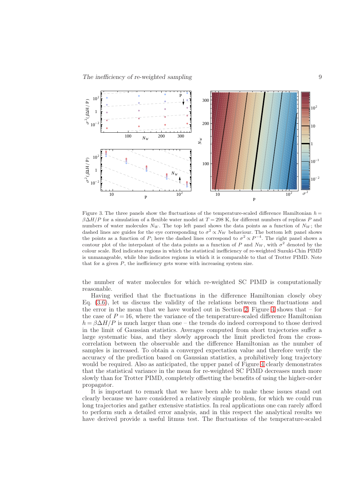

<span id="page-8-0"></span>Figure 3. The three panels show the fluctuations of the temperature-scaled difference Hamiltonian  $h =$  $\beta\Delta H/P$  for a simulation of a flexible water model at  $T = 298$  K, for different numbers of replicas P and numbers of water molecules  $N_W$ . The top left panel shows the data points as a function of  $N_W$ ; the dashed lines are guides for the eye corresponding to  $\sigma^2 \propto N_W$  behaviour. The bottom left panel shows the points as a function of P; here the dashed lines correspond to  $\sigma^2 \propto P^{-4}$ . The right panel shows a contour plot of the interpolant of the data points as a function of P and  $N_W$ , with  $\sigma^2$  denoted by the colour scale. Red indicates regions in which the statistical inefficiency of re-weighted Suzuki-Chin PIMD is unmanageable, while blue indicates regions in which it is comparable to that of Trotter PIMD. Note that for a given  $P$ , the inefficiency gets worse with increasing system size.

the number of water molecules for which re-weighted SC PIMD is computationally reasonable.

Having verified that the fluctuations in the difference Hamiltonian closely obey Eq. [\(3.6\)](#page-6-0), let us discuss the validity of the relations between these fluctuations and the error in the mean that we have worked out in Section [2.](#page-1-1) Figure [4](#page-9-0) shows that – for the case of  $P = 16$ , where the variance of the temperature-scaled difference Hamiltonian  $h = \beta \Delta H/P$  is much larger than one – the trends do indeed correspond to those derived in the limit of Gaussian statistics. Averages computed from short trajectories suffer a large systematic bias, and they slowly approach the limit predicted from the crosscorrelation between the observable and the difference Hamiltonian as the number of samples is increased. To obtain a converged expectation value and therefore verify the accuracy of the prediction based on Gaussian statistics, a prohibitively long trajectory would be required. Also as anticipated, the upper panel of Figure [4](#page-9-0) clearly demonstrates that the statistical variance in the mean for re-weighted SC PIMD decreases much more slowly than for Trotter PIMD, completely offsetting the benefits of using the higher-order propagator.

It is important to remark that we have been able to make these issues stand out clearly because we have considered a relatively simple problem, for which we could run long trajectories and gather extensive statistics. In real applications one can rarely afford to perform such a detailed error analysis, and in this respect the analytical results we have derived provide a useful litmus test. The fluctuations of the temperature-scaled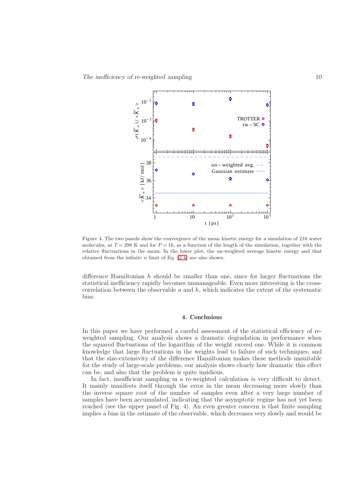

<span id="page-9-0"></span>Figure 4. The two panels show the convergence of the mean kinetic energy for a simulation of 216 water molecules, at  $T = 298$  K and for  $P = 16$ , as a function of the length of the simulation, together with the relative fluctuations in the mean. In the lower plot, the un-weighted average kinetic energy and that obtained from the infinite  $n$  limit of Eq.  $(2.4)$  are also shown.

difference Hamiltonian  $h$  should be smaller than one, since for larger fluctuations the statistical inefficiency rapidly becomes unmanageable. Even more interesting is the crosscorrelation between the observable  $a$  and  $h$ , which indicates the extent of the systematic bias.

# 4. Conclusions

In this paper we have performed a careful assessment of the statistical efficiency of reweighted sampling. Our analysis shows a dramatic degradation in performance when the squared fluctuations of the logarithm of the weight exceed one. While it is common knowledge that large fluctuations in the weights lead to failure of such techniques, and that the size-extensivity of the difference Hamiltonian makes these methods unsuitable for the study of large-scale problems, our analysis shows clearly how dramatic this effect can be, and also that the problem is quite insidious.

In fact, insufficient sampling in a re-weighted calculation is very difficult to detect. It mainly manifests itself through the error in the mean decreasing more slowly than the inverse square root of the number of samples even after a very large number of samples have been accumulated, indicating that the asymptotic regime has not yet been reached (see the upper panel of Fig. 4). An even greater concern is that finite sampling implies a bias in the estimate of the observable, which decreases very slowly and would be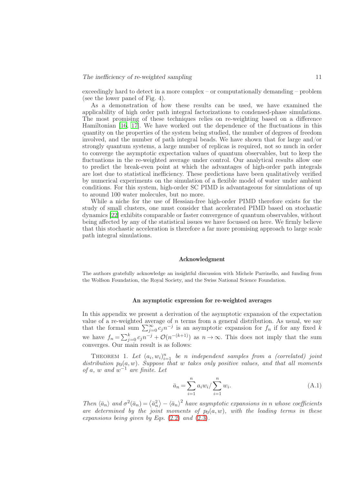exceedingly hard to detect in a more complex – or computationally demanding – problem (see the lower panel of Fig. 4).

As a demonstration of how these results can be used, we have examined the applicability of high order path integral factorizations to condensed-phase simulations. The most promising of these techniques relies on re-weighting based on a difference Hamiltonian [\[16,](#page-13-12) [17](#page-14-1)]. We have worked out the dependence of the fluctuations in this quantity on the properties of the system being studied, the number of degrees of freedom involved, and the number of path integral beads. We have shown that for large and/or strongly quantum systems, a large number of replicas is required, not so much in order to converge the asymptotic expectation values of quantum observables, but to keep the fluctuations in the re-weighted average under control. Our analytical results allow one to predict the break-even point at which the advantages of high-order path integrals are lost due to statistical inefficiency. These predictions have been qualitatively verified by numerical experiments on the simulation of a flexible model of water under ambient conditions. For this system, high-order SC PIMD is advantageous for simulations of up to around 100 water molecules, but no more.

While a niche for the use of Hessian-free high-order PIMD therefore exists for the study of small clusters, one must consider that accelerated PIMD based on stochastic dynamics [\[22](#page-14-8)] exhibits comparable or faster convergence of quantum observables, without being affected by any of the statistical issues we have focussed on here. We firmly believe that this stochastic acceleration is therefore a far more promising approach to large scale path integral simulations.

## Acknowledgment

The authors gratefully acknowledge an insightful discussion with Michele Parrinello, and funding from the Wolfson Foundation, the Royal Society, and the Swiss National Science Foundation.

#### An asymptotic expression for re-weighted averages

In this appendix we present a derivation of the asymptotic expansion of the expectation value of a re-weighted average of  $n$  terms from a general distribution. As usual, we say that the formal sum  $\sum_{j=0}^{\infty} c_j n^{-j}$  is an asymptotic expansion for  $f_n$  if for any fixed  $k$ we have  $f_n = \sum_{j=0}^k c_j n^{-j} + \mathcal{O}(n^{-(k+1)})$  as  $n \to \infty$ . This does not imply that the sum converges. Our main result is as follows:

THEOREM 1. Let  $(a_i, w_i)_{i=1}^n$  be n independent samples from a (correlated) joint distribution  $p_0(a, w)$ . Suppose that w takes only positive values, and that all moments of a, w and  $w^{-1}$  are finite. Let

$$
\bar{a}_n = \sum_{i=1}^n a_i w_i / \sum_{i=1}^n w_i.
$$
\n(A.1)

Then  $\langle \bar{a}_n \rangle$  and  $\sigma^2(\bar{a}_n) = \langle \bar{a}_n^2 \rangle - \langle \bar{a}_n \rangle^2$  have asymptotic expansions in n whose coefficients are determined by the joint moments of  $p_0(a, w)$ , with the leading terms in these expansions being given by Eqs.  $(2.2)$  and  $(2.3)$ .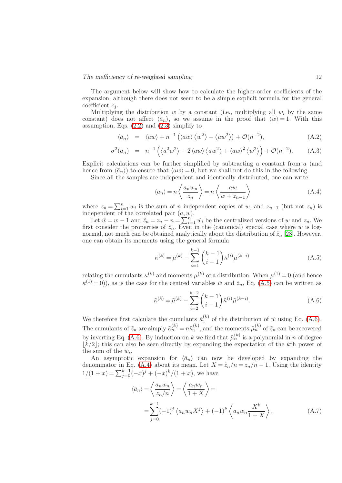The argument below will show how to calculate the higher-order coefficients of the expansion, although there does not seem to be a simple explicit formula for the general coefficient  $c_i$ .

Multiplying the distribution w by a constant (i.e., multiplying all  $w_i$  by the same constant) does not affect  $\langle \bar{a}_n \rangle$ , so we assume in the proof that  $\langle w \rangle = 1$ . With this assumption, Eqs.  $(2.2)$  and  $(2.3)$  simplify to

<span id="page-11-3"></span>
$$
\langle \bar{a}_n \rangle = \langle a w \rangle + n^{-1} (\langle a w \rangle \langle w^2 \rangle - \langle a w^2 \rangle) + \mathcal{O}(n^{-2}), \tag{A.2}
$$

$$
\sigma^2(\bar{a}_n) = n^{-1} \left( \langle a^2 w^2 \rangle - 2 \langle aw \rangle \langle aw^2 \rangle + \langle aw \rangle^2 \langle w^2 \rangle \right) + \mathcal{O}(n^{-2}). \tag{A.3}
$$

Explicit calculations can be further simplified by subtracting a constant from a (and hence from  $\langle \bar{a}_n \rangle$  to ensure that  $\langle a w \rangle = 0$ , but we shall not do this in the following.

Since all the samples are independent and identically distributed, one can write

<span id="page-11-2"></span>
$$
\langle \bar{a}_n \rangle = n \left\langle \frac{a_n w_n}{z_n} \right\rangle = n \left\langle \frac{a w}{w + z_{n-1}} \right\rangle \tag{A.4}
$$

where  $z_n = \sum_{i=1}^n w_i$  is the sum of n independent copies of w, and  $z_{n-1}$  (but not  $z_n$ ) is independent of the correlated pair  $(a, w)$ .

Let  $\tilde{w} = w - 1$  and  $\tilde{z}_n = z_n - n = \sum_{i=1}^{n'} \tilde{w}_i$  be the centralized versions of w and  $z_n$ . We first consider the properties of  $\tilde{z}_n$ . Even in the (canonical) special case where w is lognormal, not much can be obtained analytically about the distribution of  $\tilde{z}_n$  [\[28](#page-14-12)]. However, one can obtain its moments using the general formula

<span id="page-11-0"></span>
$$
\kappa^{(k)} = \mu^{(k)} - \sum_{i=1}^{k-1} {k-1 \choose i-1} \kappa^{(i)} \mu^{(k-i)}
$$
\n(A.5)

relating the cumulants  $\kappa^{(k)}$  and moments  $\mu^{(k)}$  of a distribution. When  $\mu^{(1)} = 0$  (and hence  $\kappa^{(1)} = 0$ ), as is the case for the centred variables  $\tilde{w}$  and  $\tilde{z}_n$ , Eq. [\(A.5\)](#page-11-0) can be written as

<span id="page-11-1"></span>
$$
\tilde{\kappa}^{(k)} = \tilde{\mu}^{(k)} - \sum_{i=2}^{k-2} {k-1 \choose i-1} \tilde{\kappa}^{(i)} \tilde{\mu}^{(k-i)}.
$$
\n(A.6)

We therefore first calculate the cumulants  $\tilde{\kappa}_1^{(k)}$  $_{1}^{(\kappa)}$  of the distribution of  $\tilde{w}$  using Eq. [\(A.6\)](#page-11-1). The cumulants of  $\tilde{z}_n$  are simply  $\tilde{\kappa}_n^{(k)} = n\tilde{\kappa}_1^{(k)}$  $\binom{k}{1}$ , and the moments  $\tilde{\mu}_n^{(k)}$  of  $\tilde{z}_n$  can be recovered by inverting Eq. [\(A.6\)](#page-11-1). By induction on k we find that  $\tilde{\mu}_n^{(k)}$  is a polynomial in n of degree  $\lfloor k/2 \rfloor$ ; this can also be seen directly by expanding the expectation of the kth power of the sum of the  $\tilde{w}_i$ .

An asymptotic expansion for  $\langle \bar{a}_n \rangle$  can now be developed by expanding the denominator in Eq. [\(A.4\)](#page-11-2) about its mean. Let  $X = \tilde{z}_n/n = z_n/n - 1$ . Using the identity  $1/(1+x) = \sum_{j=0}^{k-1} (-x)^j + (-x)^k/(1+x)$ , we have

$$
\langle \bar{a}_n \rangle = \left\langle \frac{a_n w_n}{z_n/n} \right\rangle = \left\langle \frac{a_n w_n}{1+X} \right\rangle =
$$
  
= 
$$
\sum_{j=0}^{k-1} (-1)^j \left\langle a_n w_n X^j \right\rangle + (-1)^k \left\langle a_n w_n \frac{X^k}{1+X} \right\rangle.
$$
 (A.7)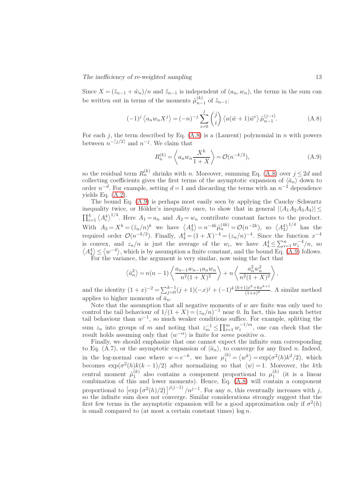Since  $X = (\tilde{z}_{n-1} + \tilde{w}_n)/n$  and  $\tilde{z}_{n-1}$  is independent of  $(a_n, w_n)$ , the terms in the sum can be written out in terms of the moments  $\tilde{\mu}_{n-}^{(k)}$  $_{n-1}^{(\kappa)}$  of  $\tilde{z}_{n-1}$ :

<span id="page-12-0"></span>
$$
(-1)^{j} \langle a_{n} w_{n} X^{j} \rangle = (-n)^{-j} \sum_{i=0}^{j} {j \choose i} \langle a(\tilde{w} + 1)\tilde{w}^{i} \rangle \tilde{\mu}_{n-1}^{(j-i)}.
$$
 (A.8)

For each j, the term described by Eq.  $(A.8)$  is a (Laurent) polynomial in n with powers between  $n^{-\lceil j/2 \rceil}$  and  $n^{-j}$ . We claim that

<span id="page-12-1"></span>
$$
R_n^{(k)} = \left\langle a_n w_n \frac{X^k}{1+X} \right\rangle = \mathcal{O}(n^{-k/2}),\tag{A.9}
$$

so the residual term  $R_n^{(k)}$  shrinks with n. Moreover, summing Eq. [\(A.8\)](#page-12-0) over  $j \leq 2d$  and collecting coefficients gives the first terms of the asymptotic expansion of  $\langle \bar{a}_n \rangle$  down to order  $n^{-d}$ . For example, setting  $d=1$  and discarding the terms with an  $n^{-2}$  dependence yields Eq. [\(A.2\)](#page-11-3).

The bound Eq. [\(A.9\)](#page-12-1) is perhaps most easily seen by applying the Cauchy–Schwartz inequality twice, or Hölder's inequality once, to show that in general  $|\langle A_1A_2A_3A_4\rangle| \leq$  $\prod_{i=1}^4 \langle A_i^4 \rangle^{1/4}$ . Here  $A_1 = a_n$  and  $A_2 = w_n$  contribute constant factors to the product. With  $A_3 = X^k = (\tilde{z}_n/n)^k$  we have  $\langle A_3^4 \rangle = n^{-4k} \tilde{\mu}_n^{(4k)} = \mathcal{O}(n^{-2k})$ , so  $\langle A_3^4 \rangle^{1/4}$  has the required order  $\mathcal{O}(n^{-k/2})$ . Finally,  $A_4^4 = (1+X)^{-4} = (z_n/n)^{-4}$ . Since the function  $x^{-4}$ is convex, and  $z_n/n$  is just the average of the  $w_i$ , we have  $A_4^4 \le \sum_{i=1}^n w_i^{-4}/n$ , so  $\langle A_4^4 \rangle \le \langle w^{-4} \rangle$ , which is by assumption a finite constant, and the bound Eq. [\(A.9\)](#page-12-1) follows. For the variance, the argument is very similar, now using the fact that

$$
\left\langle \bar{a}_n^2 \right\rangle = n(n-1) \left\langle \frac{a_{n-1}w_{n-1}a_nw_n}{n^2(1+X)^2} \right\rangle + n \left\langle \frac{a_n^2w_n^2}{n^2(1+X)^2} \right\rangle,
$$

and the identity  $(1+x)^{-2} = \sum_{j=0}^{k-1} (j+1)(-x)^j + (-1)^k \frac{(k+1)x^k + kx^{k+1}}{(1+x)^2}$  $\frac{(1+x)^2}{(1+x)^2}$ . A similar method applies to higher moments of  $\bar{a}_n$ .

Note that the assumption that all negative moments of  $w$  are finite was only used to control the tail behaviour of  $1/(1+X) = (z_n/n)^{-1}$  near 0. In fact, this has much better tail behaviour than  $w^{-1}$ , so much weaker conditions suffice. For example, splitting the sum  $z_n$  into groups of m and noting that  $z_m^{-1} \le \prod_{i=1}^m w_i^{-1/m}$  $i^{(-1/m)}$ , one can check that the result holds assuming only that  $\langle w^{-\alpha} \rangle$  is finite for *some* positive  $\alpha$ .

Finally, we should emphasize that one cannot expect the infinite sum corresponding to Eq. (A.7), or the asymptotic expansion of  $\langle \bar{a}_n \rangle$ , to converge for any fixed n. Indeed, in the log-normal case where  $w = e^{-h}$ , we have  $\mu_1^{(k)} = \langle w^k \rangle = \exp(\sigma^2(h)k^2/2)$ , which becomes  $\exp(\sigma^2(h)k(k-1)/2)$  after normalizing so that  $\langle w \rangle = 1$ . Moreover, the kth central moment  $\tilde{\mu}_1^{(k)}$  $\mu_1^{(k)}$  also contains a component proportional to  $\mu_1^{(k)}$  $\int_{1}^{(\kappa)}$  (it is a linear combination of this and lower moments). Hence, Eq. [\(A.8\)](#page-12-0) will contain a component proportional to  $\left[\exp\left(\frac{\sigma^2(h)}{2}\right)\right]^{j(j-1)}/n^{j-1}$ . For any n, this eventually increases with j, so the infinite sum does not converge. Similar considerations strongly suggest that the first few terms in the asymptotic expansion will be a good approximation only if  $\sigma^2(h)$ is small compared to (at most a certain constant times)  $\log n$ .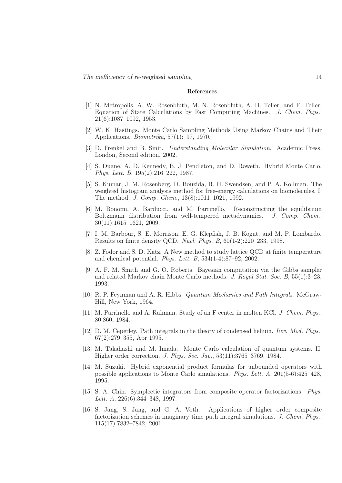#### References

- <span id="page-13-0"></span>[1] N. Metropolis, A. W. Rosenbluth, M. N. Rosenbluth, A. H. Teller, and E. Teller. Equation of State Calculations by Fast Computing Machines. J. Chem. Phys., 21(6):1087–1092, 1953.
- <span id="page-13-6"></span>[2] W. K. Hastings. Monte Carlo Sampling Methods Using Markov Chains and Their Applications. Biometrika, 57(1):–97, 1970.
- <span id="page-13-1"></span>[3] D. Frenkel and B. Smit. Understanding Molecular Simulation. Academic Press, London, Second edition, 2002.
- <span id="page-13-2"></span>[4] S. Duane, A. D. Kennedy, B. J. Pendleton, and D. Roweth. Hybrid Monte Carlo. Phys. Lett. B, 195(2):216–222, 1987.
- [5] S. Kumar, J. M. Rosenberg, D. Bouzida, R. H. Swendsen, and P. A. Kollman. The weighted histogram analysis method for free-energy calculations on biomolecules. I. The method. J. Comp. Chem., 13(8):1011–1021, 1992.
- <span id="page-13-3"></span>[6] M. Bonomi, A. Barducci, and M. Parrinello. Reconstructing the equilibrium Boltzmann distribution from well-tempered metadynamics. J. Comp. Chem., 30(11):1615–1621, 2009.
- <span id="page-13-4"></span>[7] I. M. Barbour, S. E. Morrison, E. G. Klepfish, J. B. Kogut, and M. P. Lombardo. Results on finite density QCD. Nucl. Phys. B, 60(1-2):220–233, 1998.
- <span id="page-13-5"></span>[8] Z. Fodor and S. D. Katz. A New method to study lattice QCD at finite temperature and chemical potential. Phys. Lett. B, 534(1-4):87–92, 2002.
- <span id="page-13-7"></span>[9] A. F. M. Smith and G. O. Roberts. Bayesian computation via the Gibbs sampler and related Markov chain Monte Carlo methods. J. Royal Stat. Soc. B, 55(1):3–23, 1993.
- <span id="page-13-8"></span>[10] R. P. Feynman and A. R. Hibbs. Quantum Mechanics and Path Integrals. McGraw-Hill, New York, 1964.
- [11] M. Parrinello and A. Rahman. Study of an F center in molten KCl. J. Chem. Phys., 80:860, 1984.
- <span id="page-13-9"></span>[12] D. M. Ceperley. Path integrals in the theory of condensed helium. Rev. Mod. Phys., 67(2):279–355, Apr 1995.
- <span id="page-13-10"></span>[13] M. Takahashi and M. Imada. Monte Carlo calculation of quantum systems. II. Higher order correction. J. Phys. Soc. Jap., 53(11):3765–3769, 1984.
- <span id="page-13-13"></span>[14] M. Suzuki. Hybrid exponential product formulas for unbounded operators with possible applications to Monte Carlo simulations. Phys. Lett. A, 201(5-6):425–428, 1995.
- <span id="page-13-11"></span>[15] S. A. Chin. Symplectic integrators from composite operator factorizations. Phys. Lett. A, 226(6):344–348, 1997.
- <span id="page-13-12"></span>[16] S. Jang, S. Jang, and G. A. Voth. Applications of higher order composite factorization schemes in imaginary time path integral simulations. J. Chem. Phys., 115(17):7832–7842, 2001.